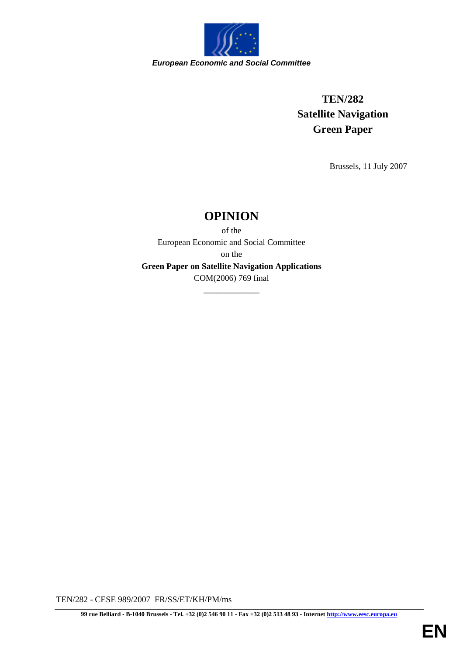

# **TEN/282 Satellite Navigation Green Paper**

Brussels, 11 July 2007

## **OPINION**

of the European Economic and Social Committee on the **Green Paper on Satellite Navigation Applications** COM(2006) 769 final

\_\_\_\_\_\_\_\_\_\_\_\_\_

TEN/282 - CESE 989/2007 FR/SS/ET/KH/PM/ms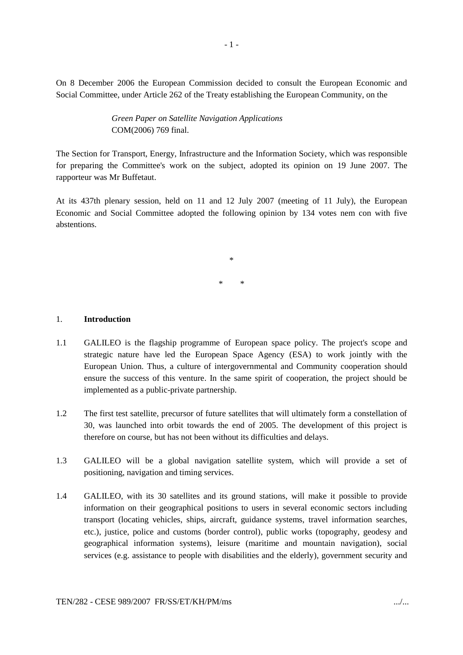On 8 December 2006 the European Commission decided to consult the European Economic and Social Committee, under Article 262 of the Treaty establishing the European Community, on the

> *Green Paper on Satellite Navigation Applications* COM(2006) 769 final.

The Section for Transport, Energy, Infrastructure and the Information Society, which was responsible for preparing the Committee's work on the subject, adopted its opinion on 19 June 2007. The rapporteur was Mr Buffetaut.

At its 437th plenary session, held on 11 and 12 July 2007 (meeting of 11 July), the European Economic and Social Committee adopted the following opinion by 134 votes nem con with five abstentions.

> \* \* \*

#### 1. **Introduction**

- 1.1 GALILEO is the flagship programme of European space policy. The project's scope and strategic nature have led the European Space Agency (ESA) to work jointly with the European Union. Thus, a culture of intergovernmental and Community cooperation should ensure the success of this venture. In the same spirit of cooperation, the project should be implemented as a public-private partnership.
- 1.2 The first test satellite, precursor of future satellites that will ultimately form a constellation of 30, was launched into orbit towards the end of 2005. The development of this project is therefore on course, but has not been without its difficulties and delays.
- 1.3 GALILEO will be a global navigation satellite system, which will provide a set of positioning, navigation and timing services.
- 1.4 GALILEO, with its 30 satellites and its ground stations, will make it possible to provide information on their geographical positions to users in several economic sectors including transport (locating vehicles, ships, aircraft, guidance systems, travel information searches, etc.), justice, police and customs (border control), public works (topography, geodesy and geographical information systems), leisure (maritime and mountain navigation), social services (e.g. assistance to people with disabilities and the elderly), government security and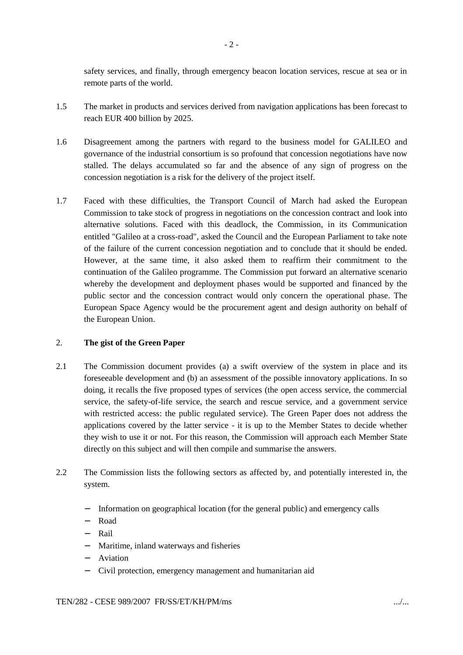safety services, and finally, through emergency beacon location services, rescue at sea or in remote parts of the world.

- 1.5 The market in products and services derived from navigation applications has been forecast to reach EUR 400 billion by 2025.
- 1.6 Disagreement among the partners with regard to the business model for GALILEO and governance of the industrial consortium is so profound that concession negotiations have now stalled. The delays accumulated so far and the absence of any sign of progress on the concession negotiation is a risk for the delivery of the project itself.
- 1.7 Faced with these difficulties, the Transport Council of March had asked the European Commission to take stock of progress in negotiations on the concession contract and look into alternative solutions. Faced with this deadlock, the Commission, in its Communication entitled "Galileo at a cross-road", asked the Council and the European Parliament to take note of the failure of the current concession negotiation and to conclude that it should be ended. However, at the same time, it also asked them to reaffirm their commitment to the continuation of the Galileo programme. The Commission put forward an alternative scenario whereby the development and deployment phases would be supported and financed by the public sector and the concession contract would only concern the operational phase. The European Space Agency would be the procurement agent and design authority on behalf of the European Union.

#### 2. **The gist of the Green Paper**

- 2.1 The Commission document provides (a) a swift overview of the system in place and its foreseeable development and (b) an assessment of the possible innovatory applications. In so doing, it recalls the five proposed types of services (the open access service, the commercial service, the safety-of-life service, the search and rescue service, and a government service with restricted access: the public regulated service). The Green Paper does not address the applications covered by the latter service - it is up to the Member States to decide whether they wish to use it or not. For this reason, the Commission will approach each Member State directly on this subject and will then compile and summarise the answers.
- 2.2 The Commission lists the following sectors as affected by, and potentially interested in, the system.
	- Information on geographical location (for the general public) and emergency calls
	- − Road
	- − Rail
	- − Maritime, inland waterways and fisheries
	- − Aviation
	- − Civil protection, emergency management and humanitarian aid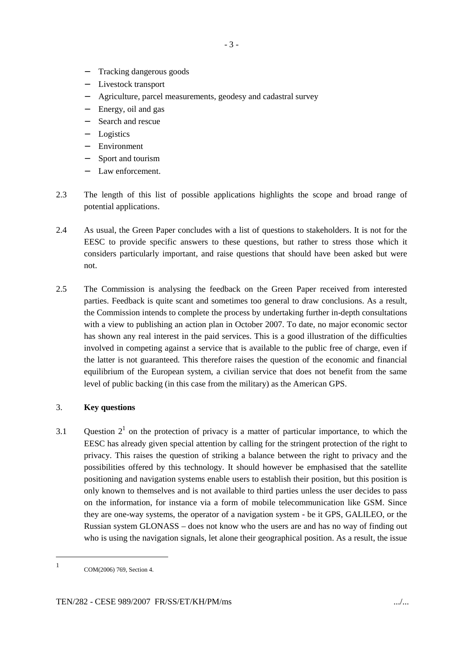- Tracking dangerous goods
- Livestock transport
- − Agriculture, parcel measurements, geodesy and cadastral survey
- Energy, oil and gas
- Search and rescue
- − Logistics
- Environment
- Sport and tourism
- Law enforcement.
- 2.3 The length of this list of possible applications highlights the scope and broad range of potential applications.
- 2.4 As usual, the Green Paper concludes with a list of questions to stakeholders. It is not for the EESC to provide specific answers to these questions, but rather to stress those which it considers particularly important, and raise questions that should have been asked but were not.
- 2.5 The Commission is analysing the feedback on the Green Paper received from interested parties. Feedback is quite scant and sometimes too general to draw conclusions. As a result, the Commission intends to complete the process by undertaking further in-depth consultations with a view to publishing an action plan in October 2007. To date, no major economic sector has shown any real interest in the paid services. This is a good illustration of the difficulties involved in competing against a service that is available to the public free of charge, even if the latter is not guaranteed. This therefore raises the question of the economic and financial equilibrium of the European system, a civilian service that does not benefit from the same level of public backing (in this case from the military) as the American GPS.

### 3. **Key questions**

3.1 Question  $2<sup>1</sup>$  on the protection of privacy is a matter of particular importance, to which the EESC has already given special attention by calling for the stringent protection of the right to privacy. This raises the question of striking a balance between the right to privacy and the possibilities offered by this technology. It should however be emphasised that the satellite positioning and navigation systems enable users to establish their position, but this position is only known to themselves and is not available to third parties unless the user decides to pass on the information, for instance via a form of mobile telecommunication like GSM. Since they are one-way systems, the operator of a navigation system - be it GPS, GALILEO, or the Russian system GLONASS – does not know who the users are and has no way of finding out who is using the navigation signals, let alone their geographical position. As a result, the issue

<sup>1</sup> COM(2006) 769, Section 4.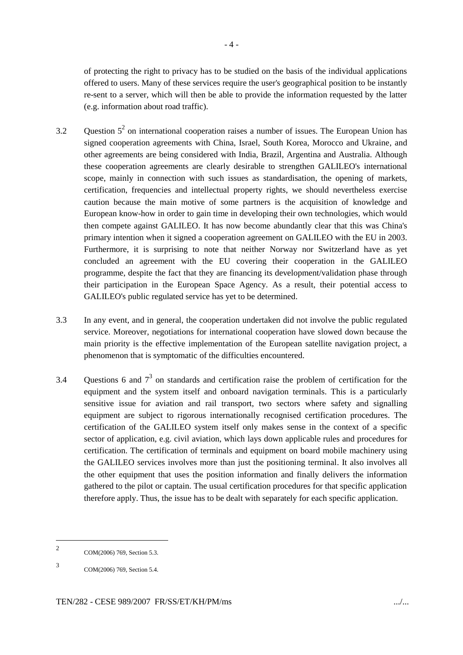of protecting the right to privacy has to be studied on the basis of the individual applications offered to users. Many of these services require the user's geographical position to be instantly re-sent to a server, which will then be able to provide the information requested by the latter (e.g. information about road traffic).

- 3.2 Question  $5^2$  on international cooperation raises a number of issues. The European Union has signed cooperation agreements with China, Israel, South Korea, Morocco and Ukraine, and other agreements are being considered with India, Brazil, Argentina and Australia. Although these cooperation agreements are clearly desirable to strengthen GALILEO's international scope, mainly in connection with such issues as standardisation, the opening of markets, certification, frequencies and intellectual property rights, we should nevertheless exercise caution because the main motive of some partners is the acquisition of knowledge and European know-how in order to gain time in developing their own technologies, which would then compete against GALILEO. It has now become abundantly clear that this was China's primary intention when it signed a cooperation agreement on GALILEO with the EU in 2003. Furthermore, it is surprising to note that neither Norway nor Switzerland have as yet concluded an agreement with the EU covering their cooperation in the GALILEO programme, despite the fact that they are financing its development/validation phase through their participation in the European Space Agency. As a result, their potential access to GALILEO's public regulated service has yet to be determined.
- 3.3 In any event, and in general, the cooperation undertaken did not involve the public regulated service. Moreover, negotiations for international cooperation have slowed down because the main priority is the effective implementation of the European satellite navigation project, a phenomenon that is symptomatic of the difficulties encountered.
- 3.4 Questions 6 and  $7<sup>3</sup>$  on standards and certification raise the problem of certification for the equipment and the system itself and onboard navigation terminals. This is a particularly sensitive issue for aviation and rail transport, two sectors where safety and signalling equipment are subject to rigorous internationally recognised certification procedures. The certification of the GALILEO system itself only makes sense in the context of a specific sector of application, e.g. civil aviation, which lays down applicable rules and procedures for certification. The certification of terminals and equipment on board mobile machinery using the GALILEO services involves more than just the positioning terminal. It also involves all the other equipment that uses the position information and finally delivers the information gathered to the pilot or captain. The usual certification procedures for that specific application therefore apply. Thus, the issue has to be dealt with separately for each specific application.

<sup>2</sup> COM(2006) 769, Section 5.3.

<sup>3</sup> COM(2006) 769, Section 5.4.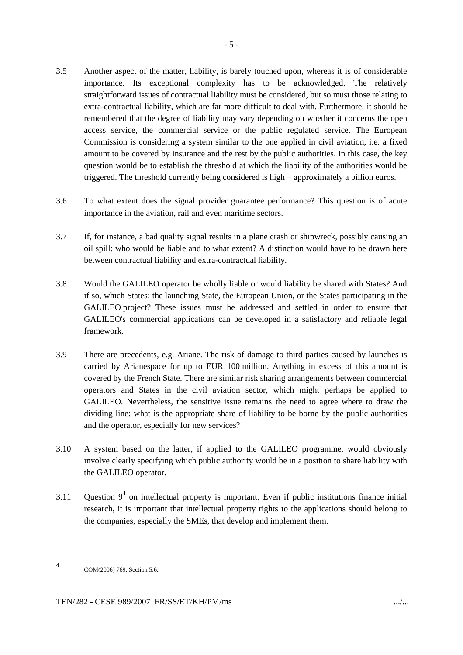- access service, the commercial service or the public regulated service. The European Commission is considering a system similar to the one applied in civil aviation, i.e. a fixed amount to be covered by insurance and the rest by the public authorities. In this case, the key question would be to establish the threshold at which the liability of the authorities would be triggered. The threshold currently being considered is high – approximately a billion euros.
- 3.6 To what extent does the signal provider guarantee performance? This question is of acute importance in the aviation, rail and even maritime sectors.
- 3.7 If, for instance, a bad quality signal results in a plane crash or shipwreck, possibly causing an oil spill: who would be liable and to what extent? A distinction would have to be drawn here between contractual liability and extra-contractual liability.
- 3.8 Would the GALILEO operator be wholly liable or would liability be shared with States? And if so, which States: the launching State, the European Union, or the States participating in the GALILEO project? These issues must be addressed and settled in order to ensure that GALILEO's commercial applications can be developed in a satisfactory and reliable legal framework.
- 3.9 There are precedents, e.g. Ariane. The risk of damage to third parties caused by launches is carried by Arianespace for up to EUR 100 million. Anything in excess of this amount is covered by the French State. There are similar risk sharing arrangements between commercial operators and States in the civil aviation sector, which might perhaps be applied to GALILEO. Nevertheless, the sensitive issue remains the need to agree where to draw the dividing line: what is the appropriate share of liability to be borne by the public authorities and the operator, especially for new services?
- 3.10 A system based on the latter, if applied to the GALILEO programme, would obviously involve clearly specifying which public authority would be in a position to share liability with the GALILEO operator.
- 3.11 Question  $9^4$  on intellectual property is important. Even if public institutions finance initial research, it is important that intellectual property rights to the applications should belong to the companies, especially the SMEs, that develop and implement them.

<sup>4</sup> COM(2006) 769, Section 5.6.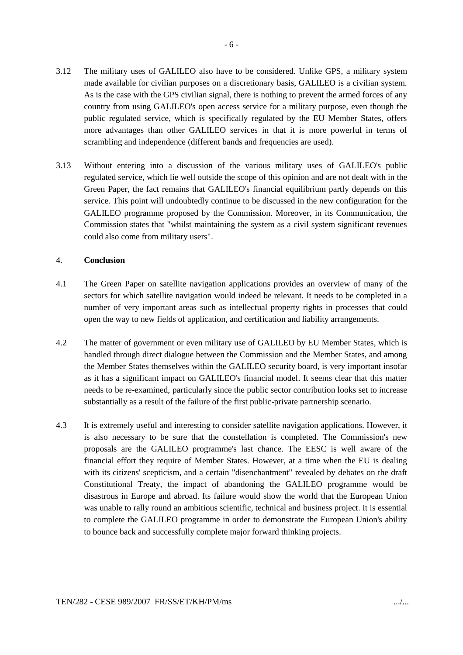- 3.12 The military uses of GALILEO also have to be considered. Unlike GPS, a military system made available for civilian purposes on a discretionary basis, GALILEO is a civilian system. As is the case with the GPS civilian signal, there is nothing to prevent the armed forces of any country from using GALILEO's open access service for a military purpose, even though the public regulated service, which is specifically regulated by the EU Member States, offers more advantages than other GALILEO services in that it is more powerful in terms of scrambling and independence (different bands and frequencies are used).
- 3.13 Without entering into a discussion of the various military uses of GALILEO's public regulated service, which lie well outside the scope of this opinion and are not dealt with in the Green Paper, the fact remains that GALILEO's financial equilibrium partly depends on this service. This point will undoubtedly continue to be discussed in the new configuration for the GALILEO programme proposed by the Commission. Moreover, in its Communication, the Commission states that "whilst maintaining the system as a civil system significant revenues could also come from military users".

#### 4. **Conclusion**

- 4.1 The Green Paper on satellite navigation applications provides an overview of many of the sectors for which satellite navigation would indeed be relevant. It needs to be completed in a number of very important areas such as intellectual property rights in processes that could open the way to new fields of application, and certification and liability arrangements.
- 4.2 The matter of government or even military use of GALILEO by EU Member States, which is handled through direct dialogue between the Commission and the Member States, and among the Member States themselves within the GALILEO security board, is very important insofar as it has a significant impact on GALILEO's financial model. It seems clear that this matter needs to be re-examined, particularly since the public sector contribution looks set to increase substantially as a result of the failure of the first public-private partnership scenario.
- 4.3 It is extremely useful and interesting to consider satellite navigation applications. However, it is also necessary to be sure that the constellation is completed. The Commission's new proposals are the GALILEO programme's last chance. The EESC is well aware of the financial effort they require of Member States. However, at a time when the EU is dealing with its citizens' scepticism, and a certain "disenchantment" revealed by debates on the draft Constitutional Treaty, the impact of abandoning the GALILEO programme would be disastrous in Europe and abroad. Its failure would show the world that the European Union was unable to rally round an ambitious scientific, technical and business project. It is essential to complete the GALILEO programme in order to demonstrate the European Union's ability to bounce back and successfully complete major forward thinking projects.